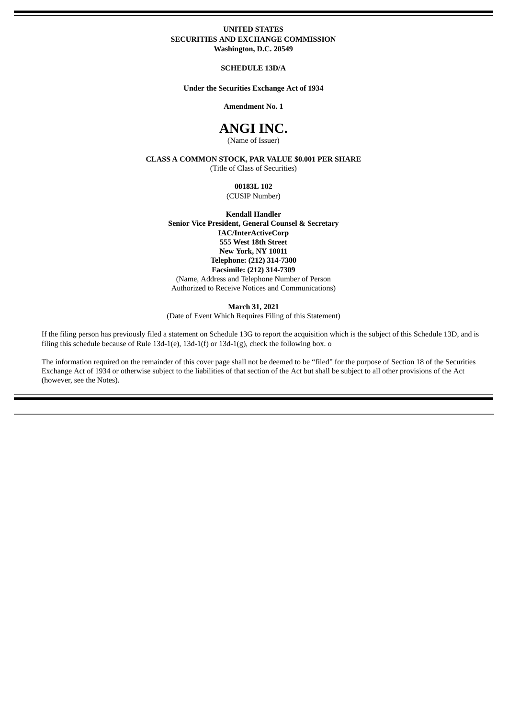#### **UNITED STATES SECURITIES AND EXCHANGE COMMISSION Washington, D.C. 20549**

**SCHEDULE 13D/A**

**Under the Securities Exchange Act of 1934**

**Amendment No. 1**

# **ANGI INC.**

(Name of Issuer)

**CLASS A COMMON STOCK, PAR VALUE \$0.001 PER SHARE**

(Title of Class of Securities)

**00183L 102** (CUSIP Number)

**Kendall Handler Senior Vice President, General Counsel & Secretary IAC/InterActiveCorp 555 West 18th Street New York, NY 10011 Telephone: (212) 314-7300 Facsimile: (212) 314-7309** (Name, Address and Telephone Number of Person Authorized to Receive Notices and Communications)

**March 31, 2021**

(Date of Event Which Requires Filing of this Statement)

If the filing person has previously filed a statement on Schedule 13G to report the acquisition which is the subject of this Schedule 13D, and is filing this schedule because of Rule 13d-1(e), 13d-1(f) or 13d-1(g), check the following box. o

The information required on the remainder of this cover page shall not be deemed to be "filed" for the purpose of Section 18 of the Securities Exchange Act of 1934 or otherwise subject to the liabilities of that section of the Act but shall be subject to all other provisions of the Act (however, see the Notes).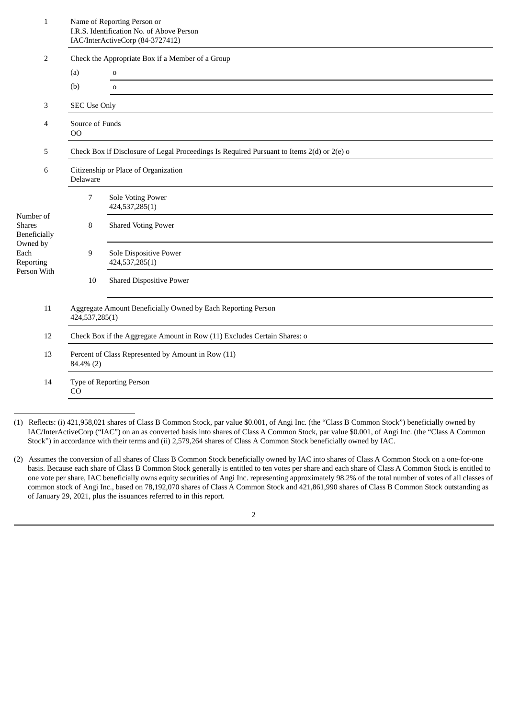| $\mathbf{1}$                                                                                      | Name of Reporting Person or<br>I.R.S. Identification No. of Above Person<br>IAC/InterActiveCorp (84-3727412) |                                          |  |  |  |
|---------------------------------------------------------------------------------------------------|--------------------------------------------------------------------------------------------------------------|------------------------------------------|--|--|--|
| 2                                                                                                 | Check the Appropriate Box if a Member of a Group                                                             |                                          |  |  |  |
|                                                                                                   | (a)                                                                                                          | $\mathbf 0$                              |  |  |  |
|                                                                                                   | (b)                                                                                                          | $\mathbf 0$                              |  |  |  |
| 3                                                                                                 | <b>SEC Use Only</b>                                                                                          |                                          |  |  |  |
| 4                                                                                                 | Source of Funds<br>O <sub>O</sub>                                                                            |                                          |  |  |  |
| 5                                                                                                 | Check Box if Disclosure of Legal Proceedings Is Required Pursuant to Items 2(d) or 2(e) o                    |                                          |  |  |  |
| 6                                                                                                 | Citizenship or Place of Organization<br>Delaware                                                             |                                          |  |  |  |
| Number of<br><b>Shares</b><br><b>Beneficially</b><br>Owned by<br>Each<br>Reporting<br>Person With | 7                                                                                                            | Sole Voting Power<br>424,537,285(1)      |  |  |  |
|                                                                                                   | 8                                                                                                            | <b>Shared Voting Power</b>               |  |  |  |
|                                                                                                   | 9                                                                                                            | Sole Dispositive Power<br>424,537,285(1) |  |  |  |
|                                                                                                   | 10                                                                                                           | <b>Shared Dispositive Power</b>          |  |  |  |
| 11                                                                                                | Aggregate Amount Beneficially Owned by Each Reporting Person<br>424,537,285(1)                               |                                          |  |  |  |
| 12                                                                                                | Check Box if the Aggregate Amount in Row (11) Excludes Certain Shares: o                                     |                                          |  |  |  |
| 13                                                                                                | Percent of Class Represented by Amount in Row (11)<br>84.4% (2)                                              |                                          |  |  |  |
| 14                                                                                                | Type of Reporting Person<br>CO                                                                               |                                          |  |  |  |

- (1) Reflects: (i) 421,958,021 shares of Class B Common Stock, par value \$0.001, of Angi Inc. (the "Class B Common Stock") beneficially owned by IAC/InterActiveCorp ("IAC") on an as converted basis into shares of Class A Common Stock, par value \$0.001, of Angi Inc. (the "Class A Common Stock") in accordance with their terms and (ii) 2,579,264 shares of Class A Common Stock beneficially owned by IAC.
- (2) Assumes the conversion of all shares of Class B Common Stock beneficially owned by IAC into shares of Class A Common Stock on a one-for-one basis. Because each share of Class B Common Stock generally is entitled to ten votes per share and each share of Class A Common Stock is entitled to one vote per share, IAC beneficially owns equity securities of Angi Inc. representing approximately 98.2% of the total number of votes of all classes of common stock of Angi Inc., based on 78,192,070 shares of Class A Common Stock and 421,861,990 shares of Class B Common Stock outstanding as of January 29, 2021, plus the issuances referred to in this report.

2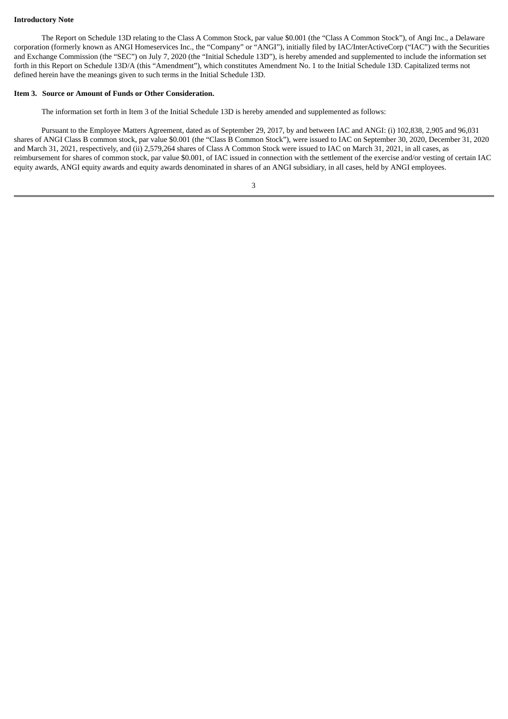#### **Introductory Note**

The Report on Schedule 13D relating to the Class A Common Stock, par value \$0.001 (the "Class A Common Stock"), of Angi Inc., a Delaware corporation (formerly known as ANGI Homeservices Inc., the "Company" or "ANGI"), initially filed by IAC/InterActiveCorp ("IAC") with the Securities and Exchange Commission (the "SEC") on July 7, 2020 (the "Initial Schedule 13D"), is hereby amended and supplemented to include the information set forth in this Report on Schedule 13D/A (this "Amendment"), which constitutes Amendment No. 1 to the Initial Schedule 13D. Capitalized terms not defined herein have the meanings given to such terms in the Initial Schedule 13D.

#### **Item 3. Source or Amount of Funds or Other Consideration.**

The information set forth in Item 3 of the Initial Schedule 13D is hereby amended and supplemented as follows:

Pursuant to the Employee Matters Agreement, dated as of September 29, 2017, by and between IAC and ANGI: (i) 102,838, 2,905 and 96,031 shares of ANGI Class B common stock, par value \$0.001 (the "Class B Common Stock"), were issued to IAC on September 30, 2020, December 31, 2020 and March 31, 2021, respectively, and (ii) 2,579,264 shares of Class A Common Stock were issued to IAC on March 31, 2021, in all cases, as reimbursement for shares of common stock, par value \$0.001, of IAC issued in connection with the settlement of the exercise and/or vesting of certain IAC equity awards, ANGI equity awards and equity awards denominated in shares of an ANGI subsidiary, in all cases, held by ANGI employees.

3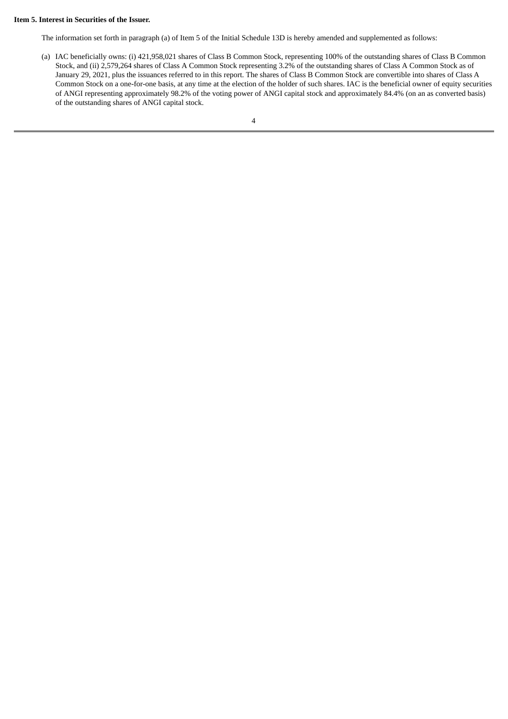#### **Item 5. Interest in Securities of the Issuer.**

The information set forth in paragraph (a) of Item 5 of the Initial Schedule 13D is hereby amended and supplemented as follows:

(a) IAC beneficially owns: (i) 421,958,021 shares of Class B Common Stock, representing 100% of the outstanding shares of Class B Common Stock, and (ii) 2,579,264 shares of Class A Common Stock representing 3.2% of the outstanding shares of Class A Common Stock as of January 29, 2021, plus the issuances referred to in this report. The shares of Class B Common Stock are convertible into shares of Class A Common Stock on a one-for-one basis, at any time at the election of the holder of such shares. IAC is the beneficial owner of equity securities of ANGI representing approximately 98.2% of the voting power of ANGI capital stock and approximately 84.4% (on an as converted basis) of the outstanding shares of ANGI capital stock.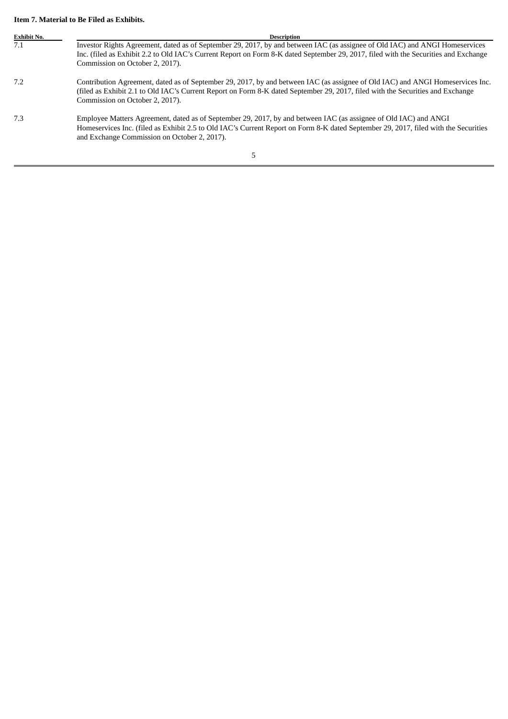# **Item 7. Material to Be Filed as Exhibits.**

| <b>Exhibit No.</b> | <b>Description</b>                                                                                                                                                                                                                                                                                      |  |  |
|--------------------|---------------------------------------------------------------------------------------------------------------------------------------------------------------------------------------------------------------------------------------------------------------------------------------------------------|--|--|
| 7.1                | Investor Rights Agreement, dated as of September 29, 2017, by and between IAC (as assignee of Old IAC) and ANGI Homeservices<br>Inc. (filed as Exhibit 2.2 to Old IAC's Current Report on Form 8-K dated September 29, 2017, filed with the Securities and Exchange<br>Commission on October 2, 2017).  |  |  |
| 7.2                | Contribution Agreement, dated as of September 29, 2017, by and between IAC (as assignee of Old IAC) and ANGI Homeservices Inc.<br>(filed as Exhibit 2.1 to Old IAC's Current Report on Form 8-K dated September 29, 2017, filed with the Securities and Exchange<br>Commission on October 2, 2017).     |  |  |
| 7.3                | Employee Matters Agreement, dated as of September 29, 2017, by and between IAC (as assignee of Old IAC) and ANGI<br>Homeservices Inc. (filed as Exhibit 2.5 to Old IAC's Current Report on Form 8-K dated September 29, 2017, filed with the Securities<br>and Exchange Commission on October 2, 2017). |  |  |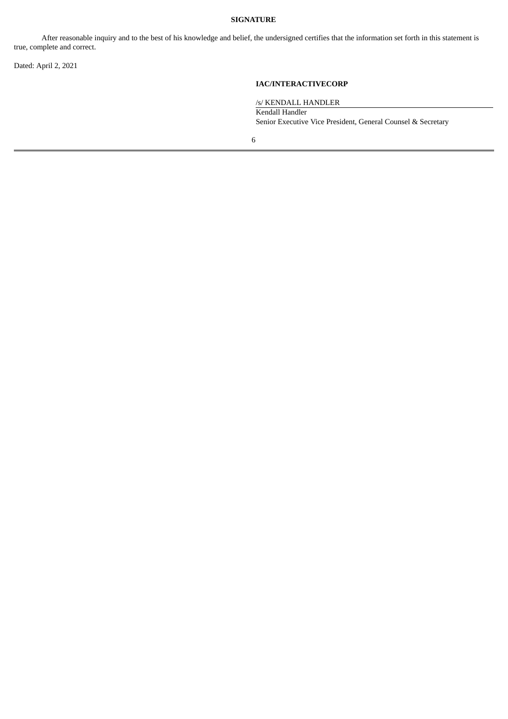## **SIGNATURE**

After reasonable inquiry and to the best of his knowledge and belief, the undersigned certifies that the information set forth in this statement is true, complete and correct.

Dated: April 2, 2021

## **IAC/INTERACTIVECORP**

/s/ KENDALL HANDLER

Kendall Handler Senior Executive Vice President, General Counsel & Secretary